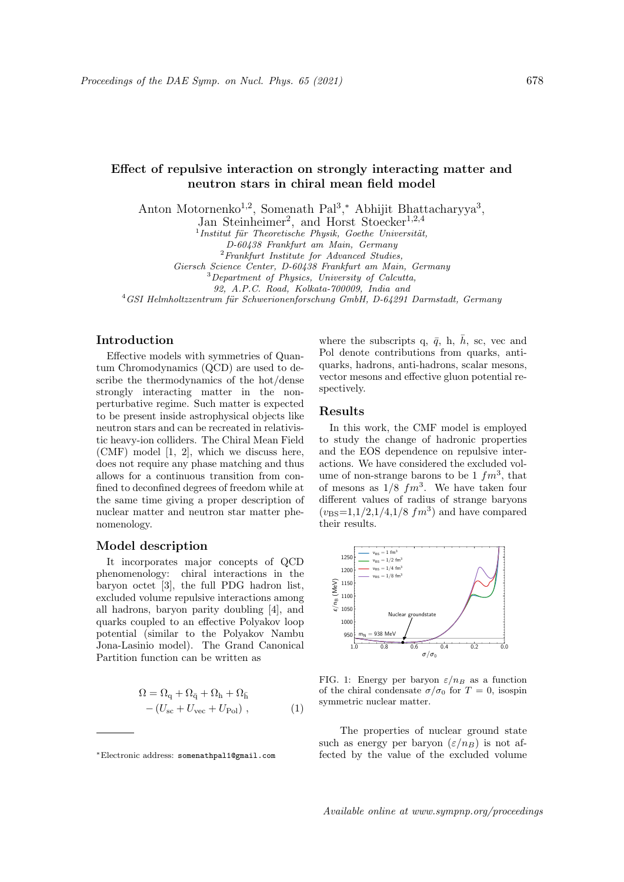# Effect of repulsive interaction on strongly interacting matter and neutron stars in chiral mean field model

Anton Motornenko<sup>1,2</sup>, Somenath Pal<sup>3</sup>,\* Abhijit Bhattacharyya<sup>3</sup>,

Jan Steinheimer<sup>2</sup>, and Horst Stoecker<sup>1,2,4</sup>

 $1$ Institut für Theoretische Physik, Goethe Universität,

D-60438 Frankfurt am Main, Germany

 $\label{eq:1} \begin{array}{ll} \textbf{2} \textit{Frankfurt Institute for Advanced Studies}, \end{array}$ 

Giersch Science Center, D-60438 Frankfurt am Main, Germany

<sup>3</sup>Department of Physics, University of Calcutta,

92, A.P.C. Road, Kolkata-700009, India and

 $^{4}$ GSI Helmholtzzentrum für Schwerionenforschung GmbH, D-64291 Darmstadt, Germany

## Introduction

Effective models with symmetries of Quantum Chromodynamics (QCD) are used to describe the thermodynamics of the hot/dense strongly interacting matter in the nonperturbative regime. Such matter is expected to be present inside astrophysical objects like neutron stars and can be recreated in relativistic heavy-ion colliders. The Chiral Mean Field (CMF) model [1, 2], which we discuss here, does not require any phase matching and thus allows for a continuous transition from confined to deconfined degrees of freedom while at the same time giving a proper description of nuclear matter and neutron star matter phenomenology.

#### Model description

It incorporates major concepts of QCD phenomenology: chiral interactions in the baryon octet [3], the full PDG hadron list, excluded volume repulsive interactions among all hadrons, baryon parity doubling [4], and quarks coupled to an effective Polyakov loop potential (similar to the Polyakov Nambu Jona-Lasinio model). The Grand Canonical Partition function can be written as

$$
\Omega = \Omega_{\mathbf{q}} + \Omega_{\bar{\mathbf{q}}} + \Omega_{\mathbf{h}} + \Omega_{\bar{\mathbf{h}}}
$$

$$
- (U_{\rm sc} + U_{\rm vec} + U_{\rm Pol}), \qquad (1)
$$

where the subscripts q,  $\bar{q}$ , h,  $\bar{h}$ , sc, vec and Pol denote contributions from quarks, antiquarks, hadrons, anti-hadrons, scalar mesons, vector mesons and effective gluon potential respectively.

#### Results

In this work, the CMF model is employed to study the change of hadronic properties and the EOS dependence on repulsive interactions. We have considered the excluded volume of non-strange barons to be  $1 fm^3$ , that of mesons as  $1/8$   $fm^3$ . We have taken four different values of radius of strange baryons  $(v_{\text{BS}}=1,1/2,1/4,1/8~fm^3)$  and have compared their results.



FIG. 1: Energy per baryon  $\varepsilon/n_B$  as a function of the chiral condensate  $\sigma/\sigma_0$  for  $T=0$ , isospin symmetric nuclear matter.

The properties of nuclear ground state such as energy per baryon  $(\varepsilon/n_B)$  is not affected by the value of the excluded volume

<sup>∗</sup>Electronic address: somenathpal1@gmail.com